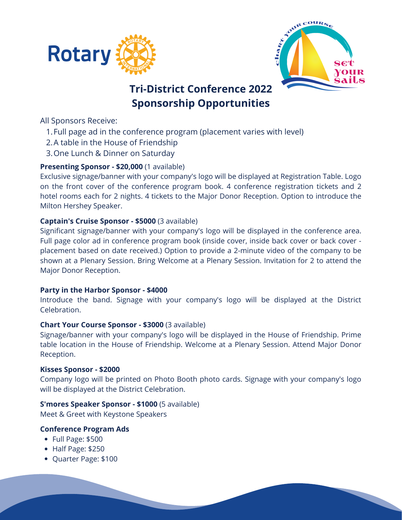



# **Tri-District Conference 2022 Sponsorship Opportunities**

All Sponsors Receive:

- Full page ad in the conference program (placement varies with level) 1.
- 2.A table in the House of Friendship
- 3. One Lunch & Dinner on Saturday

## **Presenting Sponsor - \$20,000** (1 available)

Exclusive signage/banner with your company's logo will be displayed at Registration Table. Logo on the front cover of the conference program book. 4 conference registration tickets and 2 hotel rooms each for 2 nights. 4 tickets to the Major Donor Reception. Option to introduce the Milton Hershey Speaker.

### **Captain's Cruise Sponsor - \$5000** (3 available)

Significant signage/banner with your company's logo will be displayed in the conference area. Full page color ad in conference program book (inside cover, inside back cover or back cover placement based on date received.) Option to provide a 2-minute video of the company to be shown at a Plenary Session. Bring Welcome at a Plenary Session. Invitation for 2 to attend the Major Donor Reception.

#### **Party in the Harbor Sponsor - \$4000**

Introduce the band. Signage with your company's logo will be displayed at the District Celebration.

#### **Chart Your Course Sponsor - \$3000** (3 available)

Signage/banner with your company's logo will be displayed in the House of Friendship. Prime table location in the House of Friendship. Welcome at a Plenary Session. Attend Major Donor Reception.

#### **Kisses Sponsor - \$2000**

Company logo will be printed on Photo Booth photo cards. Signage with your company's logo will be displayed at the District Celebration.

#### **S'mores Speaker Sponsor - \$1000** (5 available)

Meet & Greet with Keystone Speakers

#### **Conference Program Ads**

- Full Page: \$500
- Half Page: \$250
- Quarter Page: \$100